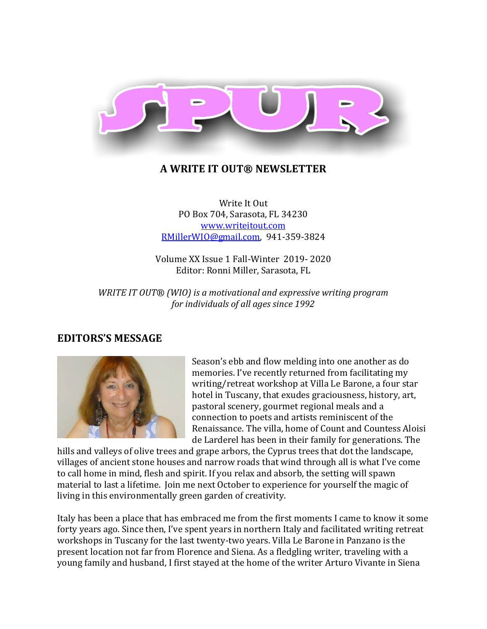

### **A WRITE IT OUT® NEWSLETTER**

Write It Out PO Box 704, Sarasota, FL 34230 [www.writeitout.com](http://www.writeitout.com/) [RMillerWIO@gmail.com,](mailto:RMillerWIO@gmail.com) 941-359-3824

Volume XX Issue 1 Fall-Winter 2019- 2020 Editor: Ronni Miller, Sarasota, FL

*WRITE IT OUT® (WIO) is a motivational and expressive writing program for individuals of all ages since 1992*

### **EDITORS'S MESSAGE**



Season's ebb and flow melding into one another as do memories. I've recently returned from facilitating my writing/retreat workshop at Villa Le Barone, a four star hotel in Tuscany, that exudes graciousness, history, art, pastoral scenery, gourmet regional meals and a connection to poets and artists reminiscent of the Renaissance. The villa, home of Count and Countess Aloisi de Larderel has been in their family for generations. The

hills and valleys of olive trees and grape arbors, the Cyprus trees that dot the landscape, villages of ancient stone houses and narrow roads that wind through all is what I've come to call home in mind, flesh and spirit. If you relax and absorb, the setting will spawn material to last a lifetime. Join me next October to experience for yourself the magic of living in this environmentally green garden of creativity.

Italy has been a place that has embraced me from the first moments I came to know it some forty years ago. Since then, I've spent years in northern Italy and facilitated writing retreat workshops in Tuscany for the last twenty-two years. Villa Le Barone in Panzano is the present location not far from Florence and Siena. As a fledgling writer, traveling with a young family and husband, I first stayed at the home of the writer Arturo Vivante in Siena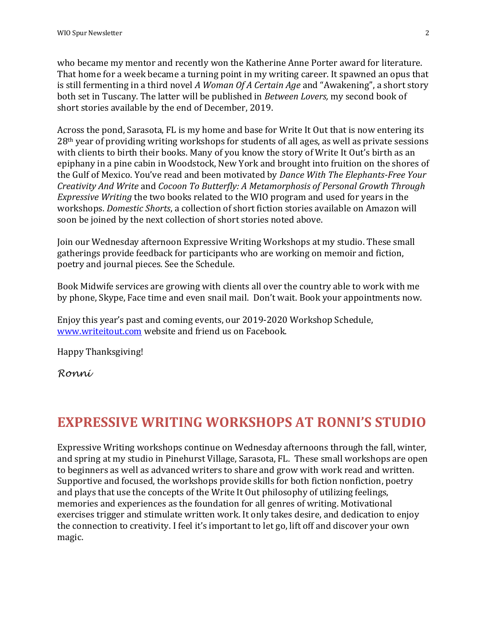who became my mentor and recently won the Katherine Anne Porter award for literature. That home for a week became a turning point in my writing career. It spawned an opus that is still fermenting in a third novel *A Woman Of A Certain Age* and "Awakening", a short story both set in Tuscany. The latter will be published in *Between Lovers,* my second book of short stories available by the end of December, 2019.

Across the pond, Sarasota, FL is my home and base for Write It Out that is now entering its 28th year of providing writing workshops for students of all ages, as well as private sessions with clients to birth their books. Many of you know the story of Write It Out's birth as an epiphany in a pine cabin in Woodstock, New York and brought into fruition on the shores of the Gulf of Mexico. You've read and been motivated by *Dance With The Elephants-Free Your Creativity And Write* and *Cocoon To Butterfly: A Metamorphosis of Personal Growth Through Expressive Writing* the two books related to the WIO program and used for years in the workshops. *Domestic Shorts*, a collection of short fiction stories available on Amazon will soon be joined by the next collection of short stories noted above.

Join our Wednesday afternoon Expressive Writing Workshops at my studio. These small gatherings provide feedback for participants who are working on memoir and fiction, poetry and journal pieces. See the Schedule.

Book Midwife services are growing with clients all over the country able to work with me by phone, Skype, Face time and even snail mail. Don't wait. Book your appointments now.

Enjoy this year's past and coming events, our 2019-2020 Workshop Schedule, [www.writeitout.com](http://www.writeitout.com/) website and friend us on Facebook.

Happy Thanksgiving!

*Ronni*

# **EXPRESSIVE WRITING WORKSHOPS AT RONNI'S STUDIO**

Expressive Writing workshops continue on Wednesday afternoons through the fall, winter, and spring at my studio in Pinehurst Village, Sarasota, FL. These small workshops are open to beginners as well as advanced writers to share and grow with work read and written. Supportive and focused, the workshops provide skills for both fiction nonfiction, poetry and plays that use the concepts of the Write It Out philosophy of utilizing feelings, memories and experiences as the foundation for all genres of writing. Motivational exercises trigger and stimulate written work. It only takes desire, and dedication to enjoy the connection to creativity. I feel it's important to let go, lift off and discover your own magic.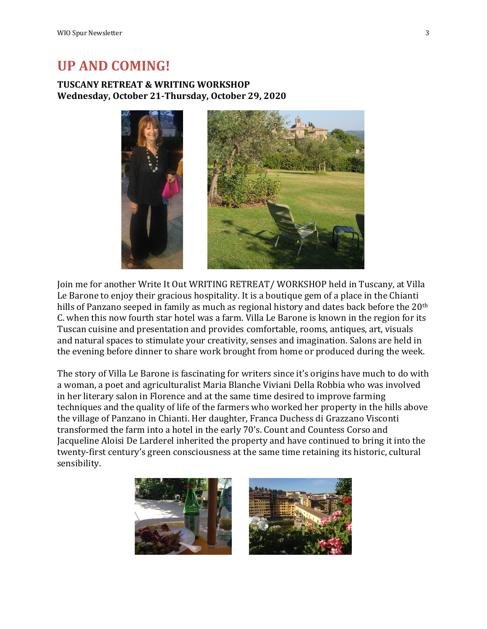## **UP AND COMING!**

### **TUSCANY RETREAT & WRITING WORKSHOP Wednesday, October 21-Thursday, October 29, 2020**



Join me for another Write It Out WRITING RETREAT/ WORKSHOP held in Tuscany, at Villa Le Barone to enjoy their gracious hospitality. It is a boutique gem of a place in the Chianti hills of Panzano seeped in family as much as regional history and dates back before the 20<sup>th</sup> C. when this now fourth star hotel was a farm. Villa Le Barone is known in the region for its Tuscan cuisine and presentation and provides comfortable, rooms, antiques, art, visuals and natural spaces to stimulate your creativity, senses and imagination. Salons are held in the evening before dinner to share work brought from home or produced during the week.

The story of Villa Le Barone is fascinating for writers since it's origins have much to do with a woman, a poet and agriculturalist Maria Blanche Viviani Della Robbia who was involved in her literary salon in Florence and at the same time desired to improve farming techniques and the quality of life of the farmers who worked her property in the hills above the village of Panzano in Chianti. Her daughter, Franca Duchess di Grazzano Visconti transformed the farm into a hotel in the early 70's. Count and Countess Corso and Jacqueline Aloisi De Larderel inherited the property and have continued to bring it into the twenty-first century's green consciousness at the same time retaining its historic, cultural sensibility.



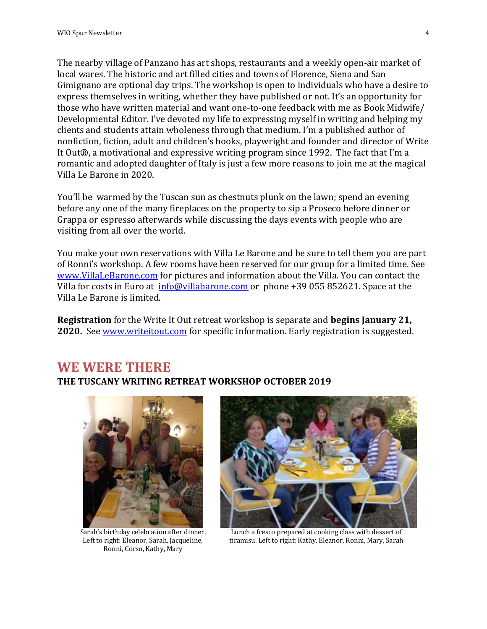The nearby village of Panzano has art shops, restaurants and a weekly open-air market of local wares. The historic and art filled cities and towns of Florence, Siena and San Gimignano are optional day trips. The workshop is open to individuals who have a desire to express themselves in writing, whether they have published or not. It's an opportunity for those who have written material and want one-to-one feedback with me as Book Midwife/ Developmental Editor. I've devoted my life to expressing myself in writing and helping my clients and students attain wholeness through that medium. I'm a published author of nonfiction, fiction, adult and children's books, playwright and founder and director of Write It Out®, a motivational and expressive writing program since 1992. The fact that I'm a romantic and adopted daughter of Italy is just a few more reasons to join me at the magical Villa Le Barone in 2020.

You'll be warmed by the Tuscan sun as chestnuts plunk on the lawn; spend an evening before any one of the many fireplaces on the property to sip a Proseco before dinner or Grappa or espresso afterwards while discussing the days events with people who are visiting from all over the world.

You make your own reservations with Villa Le Barone and be sure to tell them you are part of Ronni's workshop. A few rooms have been reserved for our group for a limited time. See [www.VillaLeBarone.com](http://www.villalebarone.com/) for pictures and information about the Villa. You can contact the Villa for costs in Euro at [info@villabarone.com](mailto:info@villabarone.com) or phone +39 055 852621. Space at the Villa Le Barone is limited.

**Registration** for the Write It Out retreat workshop is separate and **begins January 21, 2020.** See [www.writeitout.com](http://www.writeitout.com/) for specific information. Early registration is suggested.

## **WE WERE THERE THE TUSCANY WRITING RETREAT WORKSHOP OCTOBER 2019**



Sarah's birthday celebration after dinner. Left to right: Eleanor, Sarah, Jacqueline, Ronni, Corso, Kathy, Mary



Lunch a fresco prepared at cooking class with dessert of tiramisu. Left to right: Kathy, Eleanor, Ronni, Mary, Sarah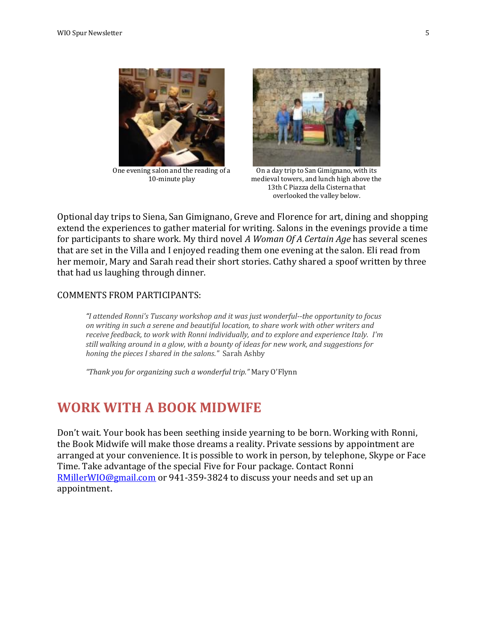

One evening salon and the reading of a 10-minute play



On a day trip to San Gimignano, with its medieval towers, and lunch high above the 13th C Piazza della Cisterna that overlooked the valley below.

Optional day trips to Siena, San Gimignano, Greve and Florence for art, dining and shopping extend the experiences to gather material for writing. Salons in the evenings provide a time for participants to share work. My third novel *A Woman Of A Certain Age* has several scenes that are set in the Villa and I enjoyed reading them one evening at the salon. Eli read from her memoir, Mary and Sarah read their short stories. Cathy shared a spoof written by three that had us laughing through dinner.

#### COMMENTS FROM PARTICIPANTS:

*"I attended Ronni's Tuscany workshop and it was just wonderful--the opportunity to focus on writing in such a serene and beautiful location, to share work with other writers and receive feedback, to work with Ronni individually, and to explore and experience Italy. I'm still walking around in a glow, with a bounty of ideas for new work, and suggestions for honing the pieces I shared in the salons."* Sarah Ashby

*"Thank you for organizing such a wonderful trip."* Mary O'Flynn

## **WORK WITH A BOOK MIDWIFE**

Don't wait. Your book has been seething inside yearning to be born. Working with Ronni, the Book Midwife will make those dreams a reality. Private sessions by appointment are arranged at your convenience. It is possible to work in person, by telephone, Skype or Face Time. Take advantage of the special Five for Four package. Contact Ronni [RMillerWIO@gmail.com](mailto:RMillerWIO@gmail.com) or 941-359-3824 to discuss your needs and set up an appointment.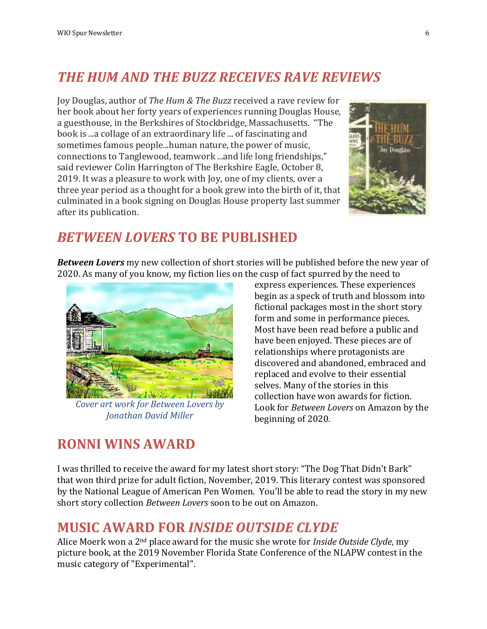# *THE HUM AND THE BUZZ RECEIVES RAVE REVIEWS*

Joy Douglas, author of *The Hum & The Buzz* received a rave review for her book about her forty years of experiences running Douglas House, a guesthouse, in the Berkshires of Stockbridge, Massachusetts. "The book is ...a collage of an extraordinary life ... of fascinating and sometimes famous people...human nature, the power of music, connections to Tanglewood, teamwork ...and life long friendships," said reviewer Colin Harrington of The Berkshire Eagle, October 8, 2019. It was a pleasure to work with Joy, one of my clients, over a three year period as a thought for a book grew into the birth of it, that culminated in a book signing on Douglas House property last summer after its publication.



# *BETWEEN LOVERS* **TO BE PUBLISHED**

*Between Lovers* my new collection of short stories will be published before the new year of 2020. As many of you know, my fiction lies on the cusp of fact spurred by the need to



*Cover art work for Between Lovers by Jonathan David Miller*

express experiences. These experiences begin as a speck of truth and blossom into fictional packages most in the short story form and some in performance pieces. Most have been read before a public and have been enjoyed. These pieces are of relationships where protagonists are discovered and abandoned, embraced and replaced and evolve to their essential selves. Many of the stories in this collection have won awards for fiction. Look for *Between Lovers* on Amazon by the beginning of 2020.

# **RONNI WINS AWARD**

I was thrilled to receive the award for my latest short story: "The Dog That Didn't Bark" that won third prize for adult fiction, November, 2019. This literary contest was sponsored by the National League of American Pen Women. You'll be able to read the story in my new short story collection *Between Lovers* soon to be out on Amazon*.* 

# **MUSIC AWARD FOR** *INSIDE OUTSIDE CLYDE*

Alice Moerk won a 2nd place award for the music she wrote for *Inside Outside Clyde*, my picture book, at the 2019 November Florida State Conference of the NLAPW contest in the music category of "Experimental".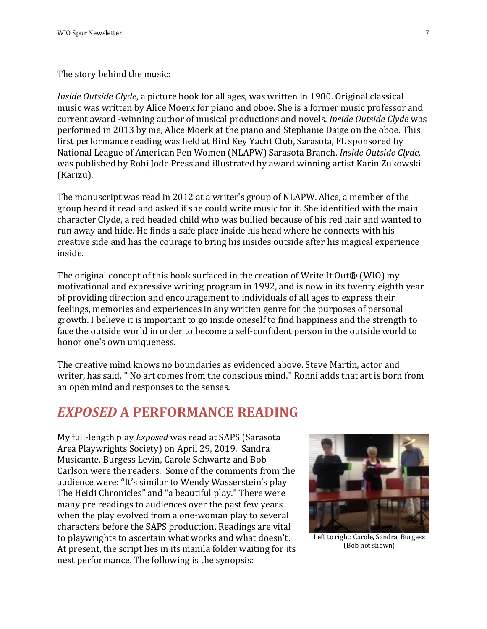The story behind the music:

*Inside Outside Clyde*, a picture book for all ages, was written in 1980. Original classical music was written by Alice Moerk for piano and oboe. She is a former music professor and current award -winning author of musical productions and novels. *Inside Outside Clyde* was performed in 2013 by me, Alice Moerk at the piano and Stephanie Daige on the oboe. This first performance reading was held at Bird Key Yacht Club, Sarasota, FL sponsored by National League of American Pen Women (NLAPW) Sarasota Branch. *Inside Outside Clyde,* was published by Robi Jode Press and illustrated by award winning artist Karin Zukowski (Karizu).

The manuscript was read in 2012 at a writer's group of NLAPW. Alice, a member of the group heard it read and asked if she could write music for it. She identified with the main character Clyde, a red headed child who was bullied because of his red hair and wanted to run away and hide. He finds a safe place inside his head where he connects with his creative side and has the courage to bring his insides outside after his magical experience inside.

The original concept of this book surfaced in the creation of Write It Out® (WIO) my motivational and expressive writing program in 1992, and is now in its twenty eighth year of providing direction and encouragement to individuals of all ages to express their feelings, memories and experiences in any written genre for the purposes of personal growth. I believe it is important to go inside oneself to find happiness and the strength to face the outside world in order to become a self-confident person in the outside world to honor one's own uniqueness.

The creative mind knows no boundaries as evidenced above. Steve Martin, actor and writer, has said, " No art comes from the conscious mind." Ronni adds that art is born from an open mind and responses to the senses.

## *EXPOSED* **A PERFORMANCE READING**

My full-length play *Exposed* was read at SAPS (Sarasota Area Playwrights Society) on April 29, 2019. Sandra Musicante, Burgess Levin, Carole Schwartz and Bob Carlson were the readers. Some of the comments from the audience were: "It's similar to Wendy Wasserstein's play The Heidi Chronicles" and "a beautiful play." There were many pre readings to audiences over the past few years when the play evolved from a one-woman play to several characters before the SAPS production. Readings are vital to playwrights to ascertain what works and what doesn't. At present, the script lies in its manila folder waiting for its next performance. The following is the synopsis:



Left to right: Carole, Sandra, Burgess (Bob not shown)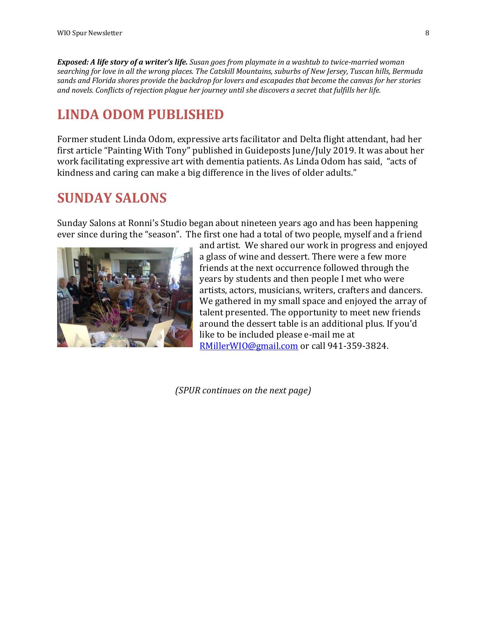*Exposed: A life story of a writer's life. Susan goes from playmate in a washtub to twice-married woman searching for love in all the wrong places. The Catskill Mountains, suburbs of New Jersey, Tuscan hills, Bermuda sands and Florida shores provide the backdrop for lovers and escapades that become the canvas for her stories and novels. Conflicts of rejection plague her journey until she discovers a secret that fulfills her life.* 

## **LINDA ODOM PUBLISHED**

Former student Linda Odom, expressive arts facilitator and Delta flight attendant, had her first article "Painting With Tony" published in Guideposts June/July 2019. It was about her work facilitating expressive art with dementia patients. As Linda Odom has said, "acts of kindness and caring can make a big difference in the lives of older adults."

## **SUNDAY SALONS**

Sunday Salons at Ronni's Studio began about nineteen years ago and has been happening ever since during the "season". The first one had a total of two people, myself and a friend



and artist. We shared our work in progress and enjoyed a glass of wine and dessert. There were a few more friends at the next occurrence followed through the years by students and then people I met who were artists, actors, musicians, writers, crafters and dancers. We gathered in my small space and enjoyed the array of talent presented. The opportunity to meet new friends around the dessert table is an additional plus. If you'd like to be included please e-mail me at [RMillerWIO@gmail.com](mailto:RMillerWIO@gmail.com) or call 941-359-3824.

*(SPUR continues on the next page)*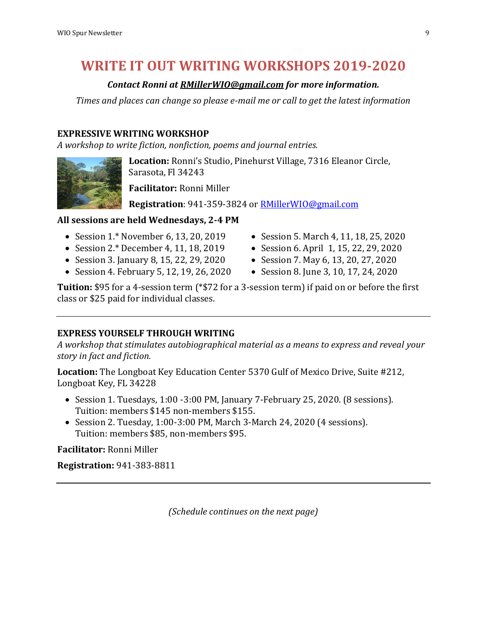# **WRITE IT OUT WRITING WORKSHOPS 2019-2020**

### *Contact Ronni at [RMillerWIO@gmail.com](mailto:RMillerWIO@gmail.com) for more information.*

*Times and places can change so please e-mail me or call to get the latest information*

### **EXPRESSIVE WRITING WORKSHOP**

*A workshop to write fiction, nonfiction, poems and journal entries.*

**Location:** Ronni's Studio, Pinehurst Village, 7316 Eleanor Circle, Sarasota, Fl 34243

**Facilitator:** Ronni Miller

**Registration**: 941-359-3824 or [RMillerWIO@gmail.com](mailto:RMillerWIO@gmail.com)

### **All sessions are held Wednesdays, 2-4 PM**

- Session 1.\* November 6, 13, 20, 2019
- Session 2.\* December 4, 11, 18, 2019
- Session 3. January 8, 15, 22, 29, 2020
- Session 4. February 5, 12, 19, 26, 2020
- Session 5. March 4, 11, 18, 25, 2020
- Session 6. April 1, 15, 22, 29, 2020
- Session 7. May 6, 13, 20, 27, 2020
- Session 8. June 3, 10, 17, 24, 2020

**Tuition:** \$95 for a 4-session term (\*\$72 for a 3-session term) if paid on or before the first class or \$25 paid for individual classes.

### **EXPRESS YOURSELF THROUGH WRITING**

*A workshop that stimulates autobiographical material as a means to express and reveal your story in fact and fiction.*

**Location:** The Longboat Key Education Center 5370 Gulf of Mexico Drive, Suite #212, Longboat Key, FL 34228

- $\bullet$  Session 1. Tuesdays, 1:00 -3:00 PM, January 7-February 25, 2020. (8 sessions). Tuition: members \$145 non-members \$155.
- Session 2. Tuesday, 1:00-3:00 PM, March 3-March 24, 2020 (4 sessions). Tuition: members \$85, non-members \$95.

**Facilitator:** Ronni Miller

**Registration:** 941-383-8811

*(Schedule continues on the next page)*